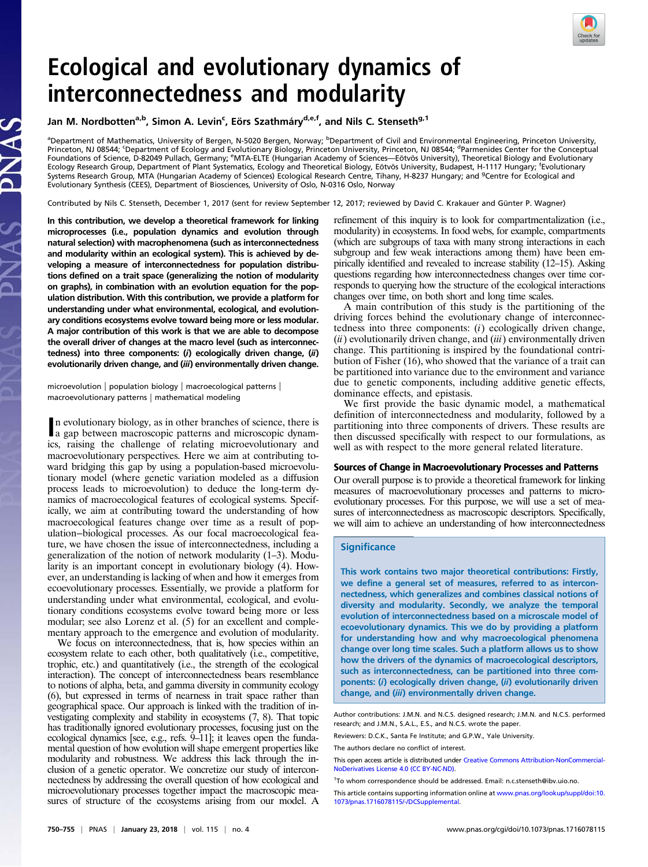

# Ecological and evolutionary dynamics of interconnectedness and modularity

## Jan M. Nordbotten<sup>a,b</sup>, Simon A. Levin<sup>c</sup>, Eörs Szathmáry<sup>d,e,f</sup>, and Nils C. Stenseth<sup>g, 1</sup>

<sup>a</sup>Department of Mathematics, University of Bergen, N-5020 Bergen, Norway; <sup>b</sup>Department of Civil and Environmental Engineering, Princeton University,<br>Princeton, NJ 08544; <sup>c</sup>Department of Ecology and Evolutionary Biology, Foundations of Science, D-82049 Pullach, Germany; <sup>e</sup> MTA-ELTE (Hungarian Academy of Sciences—Eötvös University), Theoretical Biology and Evolutionary Ecology Research Group, Department of Plant Systematics, Ecology and Theoretical Biology, Eötvös University, Budapest, H-1117 Hungary; <sup>f</sup> Evolutionary Systems Research Group, MTA (Hungarian Academy of Sciences) Ecological Research Centre, Tihany, H-8237 Hungary; and <sup>g</sup>Centre for Ecological and Evolutionary Synthesis (CEES), Department of Biosciences, University of Oslo, N-0316 Oslo, Norway

Contributed by Nils C. Stenseth, December 1, 2017 (sent for review September 12, 2017; reviewed by David C. Krakauer and Günter P. Wagner)

In this contribution, we develop a theoretical framework for linking microprocesses (i.e., population dynamics and evolution through natural selection) with macrophenomena (such as interconnectedness and modularity within an ecological system). This is achieved by developing a measure of interconnectedness for population distributions defined on a trait space (generalizing the notion of modularity on graphs), in combination with an evolution equation for the population distribution. With this contribution, we provide a platform for understanding under what environmental, ecological, and evolutionary conditions ecosystems evolve toward being more or less modular. A major contribution of this work is that we are able to decompose the overall driver of changes at the macro level (such as interconnectedness) into three components: (i) ecologically driven change, (ii) evolutionarily driven change, and (iii) environmentally driven change.

microevolution | population biology | macroecological patterns | macroevolutionary patterns | mathematical modeling

In evolutionary biology, as in other branches of science, there is a gap between macroscopic patterns and microscopic dynamia gap between macroscopic patterns and microscopic dynamics, raising the challenge of relating microevolutionary and macroevolutionary perspectives. Here we aim at contributing toward bridging this gap by using a population-based microevolutionary model (where genetic variation modeled as a diffusion process leads to microevolution) to deduce the long-term dynamics of macroecological features of ecological systems. Specifically, we aim at contributing toward the understanding of how macroecological features change over time as a result of population−biological processes. As our focal macroecological feature, we have chosen the issue of interconnectedness, including a generalization of the notion of network modularity (1–3). Modularity is an important concept in evolutionary biology (4). However, an understanding is lacking of when and how it emerges from ecoevolutionary processes. Essentially, we provide a platform for understanding under what environmental, ecological, and evolutionary conditions ecosystems evolve toward being more or less modular; see also Lorenz et al. (5) for an excellent and complementary approach to the emergence and evolution of modularity.

We focus on interconnectedness, that is, how species within an ecosystem relate to each other, both qualitatively (i.e., competitive, trophic, etc.) and quantitatively (i.e., the strength of the ecological interaction). The concept of interconnectedness bears resemblance to notions of alpha, beta, and gamma diversity in community ecology (6), but expressed in terms of nearness in trait space rather than geographical space. Our approach is linked with the tradition of investigating complexity and stability in ecosystems (7, 8). That topic has traditionally ignored evolutionary processes, focusing just on the ecological dynamics [see, e.g., refs. 9–11]; it leaves open the fundamental question of how evolution will shape emergent properties like modularity and robustness. We address this lack through the inclusion of a genetic operator. We concretize our study of interconnectedness by addressing the overall question of how ecological and microevolutionary processes together impact the macroscopic measures of structure of the ecosystems arising from our model. A refinement of this inquiry is to look for compartmentalization (i.e., modularity) in ecosystems. In food webs, for example, compartments (which are subgroups of taxa with many strong interactions in each subgroup and few weak interactions among them) have been empirically identified and revealed to increase stability (12–15). Asking questions regarding how interconnectedness changes over time corresponds to querying how the structure of the ecological interactions changes over time, on both short and long time scales.

A main contribution of this study is the partitioning of the driving forces behind the evolutionary change of interconnectedness into three components:  $(i)$  ecologically driven change,  $(ii)$  evolutionarily driven change, and  $(iii)$  environmentally driven change. This partitioning is inspired by the foundational contribution of Fisher (16), who showed that the variance of a trait can be partitioned into variance due to the environment and variance due to genetic components, including additive genetic effects, dominance effects, and epistasis.

We first provide the basic dynamic model, a mathematical definition of interconnectedness and modularity, followed by a partitioning into three components of drivers. These results are then discussed specifically with respect to our formulations, as well as with respect to the more general related literature.

### Sources of Change in Macroevolutionary Processes and Patterns

Our overall purpose is to provide a theoretical framework for linking measures of macroevolutionary processes and patterns to microevolutionary processes. For this purpose, we will use a set of measures of interconnectedness as macroscopic descriptors. Specifically, we will aim to achieve an understanding of how interconnectedness

## **Significance**

This work contains two major theoretical contributions: Firstly, we define a general set of measures, referred to as interconnectedness, which generalizes and combines classical notions of diversity and modularity. Secondly, we analyze the temporal evolution of interconnectedness based on a microscale model of ecoevolutionary dynamics. This we do by providing a platform for understanding how and why macroecological phenomena change over long time scales. Such a platform allows us to show how the drivers of the dynamics of macroecological descriptors, such as interconnectedness, can be partitioned into three components: (i) ecologically driven change, (ii) evolutionarily driven change, and (iii) environmentally driven change.

Author contributions: J.M.N. and N.C.S. designed research; J.M.N. and N.C.S. performed research; and J.M.N., S.A.L., E.S., and N.C.S. wrote the paper.

Reviewers: D.C.K., Santa Fe Institute; and G.P.W., Yale University.

The authors declare no conflict of interest.

This open access article is distributed under [Creative Commons Attribution-NonCommercial-](https://creativecommons.org/licenses/by-nc-nd/4.0/)[NoDerivatives License 4.0 \(CC BY-NC-ND\)](https://creativecommons.org/licenses/by-nc-nd/4.0/).

<sup>&</sup>lt;sup>1</sup>To whom correspondence should be addressed. Email: [n.c.stenseth@ibv.uio.no](mailto:n.c.stenseth@ibv.uio.no).

This article contains supporting information online at [www.pnas.org/lookup/suppl/doi:10.](http://www.pnas.org/lookup/suppl/doi:10.1073/pnas.1716078115/-/DCSupplemental) [1073/pnas.1716078115/-/DCSupplemental.](http://www.pnas.org/lookup/suppl/doi:10.1073/pnas.1716078115/-/DCSupplemental)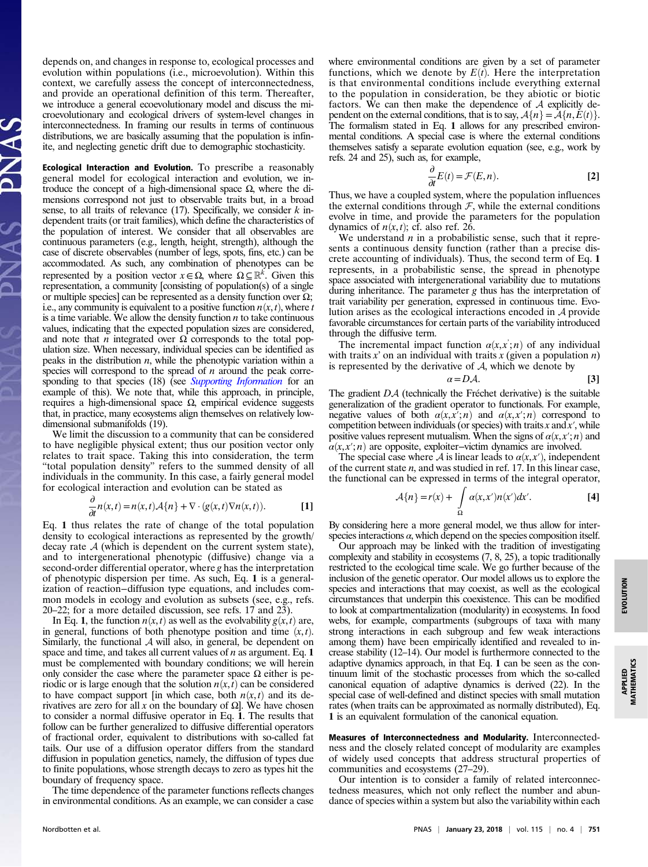depends on, and changes in response to, ecological processes and evolution within populations (i.e., microevolution). Within this context, we carefully assess the concept of interconnectedness, and provide an operational definition of this term. Thereafter, we introduce a general ecoevolutionary model and discuss the microevolutionary and ecological drivers of system-level changes in interconnectedness. In framing our results in terms of continuous distributions, we are basically assuming that the population is infinite, and neglecting genetic drift due to demographic stochasticity.

Ecological Interaction and Evolution. To prescribe a reasonably general model for ecological interaction and evolution, we introduce the concept of a high-dimensional space Ω, where the dimensions correspond not just to observable traits but, in a broad sense, to all traits of relevance (17). Specifically, we consider  $k$  independent traits (or trait families), which define the characteristics of the population of interest. We consider that all observables are continuous parameters (e.g., length, height, strength), although the case of discrete observables (number of legs, spots, fins, etc.) can be accommodated. As such, any combination of phenotypes can be represented by a position vector  $x \in \Omega$ , where  $\Omega \subseteq \mathbb{R}^k$ . Given this representation, a community [consisting of population(s) of a single or multiple species] can be represented as a density function over  $\Omega$ ; i.e., any community is equivalent to a positive function  $n(x, t)$ , where t is a time variable. We allow the density function  $n$  to take continuous values, indicating that the expected population sizes are considered, and note that *n* integrated over  $\Omega$  corresponds to the total population size. When necessary, individual species can be identified as peaks in the distribution  $n$ , while the phenotypic variation within a species will correspond to the spread of  $n$  around the peak corresponding to that species (18) (see *[Supporting Information](http://www.pnas.org/lookup/suppl/doi:10.1073/pnas.1716078115/-/DCSupplemental/pnas.201716078SI.pdf?targetid=nameddest=STXT)* for an example of this). We note that, while this approach, in principle, requires a high-dimensional space Ω, empirical evidence suggests that, in practice, many ecosystems align themselves on relatively lowdimensional submanifolds (19).

We limit the discussion to a community that can be considered to have negligible physical extent; thus our position vector only relates to trait space. Taking this into consideration, the term "total population density" refers to the summed density of all individuals in the community. In this case, a fairly general model for ecological interaction and evolution can be stated as

$$
\frac{\partial}{\partial t}n(x,t) = n(x,t)\mathcal{A}{n} + \nabla \cdot (g(x,t)\nabla n(x,t)).
$$
 [1]

Eq. 1 thus relates the rate of change of the total population density to ecological interactions as represented by the growth/ decay rate A (which is dependent on the current system state), and to intergenerational phenotypic (diffusive) change via a second-order differential operator, where g has the interpretation of phenotypic dispersion per time. As such, Eq. 1 is a generalization of reaction−diffusion type equations, and includes common models in ecology and evolution as subsets (see, e.g., refs. 20–22; for a more detailed discussion, see refs. 17 and 23).

In Eq. 1, the function  $n(x, t)$  as well as the evolvability  $g(x, t)$  are, in general, functions of both phenotype position and time  $(x, t)$ . Similarly, the functional  $A$  will also, in general, be dependent on space and time, and takes all current values of  $n$  as argument. Eq. 1 must be complemented with boundary conditions; we will herein only consider the case where the parameter space  $\Omega$  either is periodic or is large enough that the solution  $n(x, t)$  can be considered to have compact support [in which case, both  $n(x, t)$  and its derivatives are zero for all x on the boundary of Ω]. We have chosen to consider a normal diffusive operator in Eq. 1. The results that follow can be further generalized to diffusive differential operators of fractional order, equivalent to distributions with so-called fat tails. Our use of a diffusion operator differs from the standard diffusion in population genetics, namely, the diffusion of types due to finite populations, whose strength decays to zero as types hit the boundary of frequency space.

The time dependence of the parameter functions reflects changes in environmental conditions. As an example, we can consider a case where environmental conditions are given by a set of parameter functions, which we denote by  $E(t)$ . Here the interpretation is that environmental conditions include everything external to the population in consideration, be they abiotic or biotic factors. We can then make the dependence of  $A$  explicitly dependent on the external conditions, that is to say,  $\mathcal{A}{n} = \hat{\mathcal{A}}{n, \dot{E}(t)}$ . The formalism stated in Eq. 1 allows for any prescribed environmental conditions. A special case is where the external conditions themselves satisfy a separate evolution equation (see, e.g., work by refs. 24 and 25), such as, for example,

$$
\frac{\partial}{\partial t}E(t) = \mathcal{F}(E, n). \tag{2}
$$

Thus, we have a coupled system, where the population influences the external conditions through  $F$ , while the external conditions the external conditions through  $F$ , while the external conditions evolve in time, and provide the parameters for the population dynamics of  $n(x, t)$ ; cf. also ref. 26.

We understand  $n$  in a probabilistic sense, such that it represents a continuous density function (rather than a precise discrete accounting of individuals). Thus, the second term of Eq. 1 represents, in a probabilistic sense, the spread in phenotype space associated with intergenerational variability due to mutations during inheritance. The parameter g thus has the interpretation of trait variability per generation, expressed in continuous time. Evolution arises as the ecological interactions encoded in A provide favorable circumstances for certain parts of the variability introduced through the diffusive term.

The incremental impact function  $\alpha(x, x'; n)$  of any individual<br>th traits x' on an individual with traits x (given a population n) with traits  $x'$  on an individual with traits  $x$  (given a population  $n$ ) is represented by the derivative of  $A$ , which we denote by

$$
\alpha = D \mathcal{A}.
$$
 [3]

The gradient  $DA$  (technically the Fréchet derivative) is the suitable generalization of the gradient operator to functionals. For example, generalization of the gradient operator to functionals. For example, negative values of both  $\alpha(x, x'; n)$  and  $\alpha(x, x'; n)$  correspond to competition between individuals (or species) with traits x and x', while positive values represent mutualism. When the signs of  $\alpha(x, x'; n)$  and  $\alpha(x, x'; n)$  are opposite, exploiter–victim dynamics are involved.

The special case where A is linear leads to  $\alpha(x, x')$ , independent of the current state  $n$ , and was studied in ref. 17. In this linear case, the functional can be expressed in terms of the integral operator,

$$
\mathcal{A}\{n\} = r(x) + \int_{\Omega} \alpha(x, x')n(x')dx'.
$$
 [4]

By considering here a more general model, we thus allow for interspecies interactions  $\alpha$ , which depend on the species composition itself.

Our approach may be linked with the tradition of investigating complexity and stability in ecosystems (7, 8, 25), a topic traditionally restricted to the ecological time scale. We go further because of the inclusion of the genetic operator. Our model allows us to explore the species and interactions that may coexist, as well as the ecological circumstances that underpin this coexistence. This can be modified to look at compartmentalization (modularity) in ecosystems. In food webs, for example, compartments (subgroups of taxa with many strong interactions in each subgroup and few weak interactions among them) have been empirically identified and revealed to increase stability (12–14). Our model is furthermore connected to the adaptive dynamics approach, in that Eq. 1 can be seen as the continuum limit of the stochastic processes from which the so-called canonical equation of adaptive dynamics is derived (22). In the special case of well-defined and distinct species with small mutation rates (when traits can be approximated as normally distributed), Eq. 1 is an equivalent formulation of the canonical equation.

Measures of Interconnectedness and Modularity. Interconnectedness and the closely related concept of modularity are examples of widely used concepts that address structural properties of communities and ecosystems (27–29).

Our intention is to consider a family of related interconnectedness measures, which not only reflect the number and abundance of species within a system but also the variability within each **SVOLUTION** 

APPLIED<br>MATHEMATICS MATHEMATICS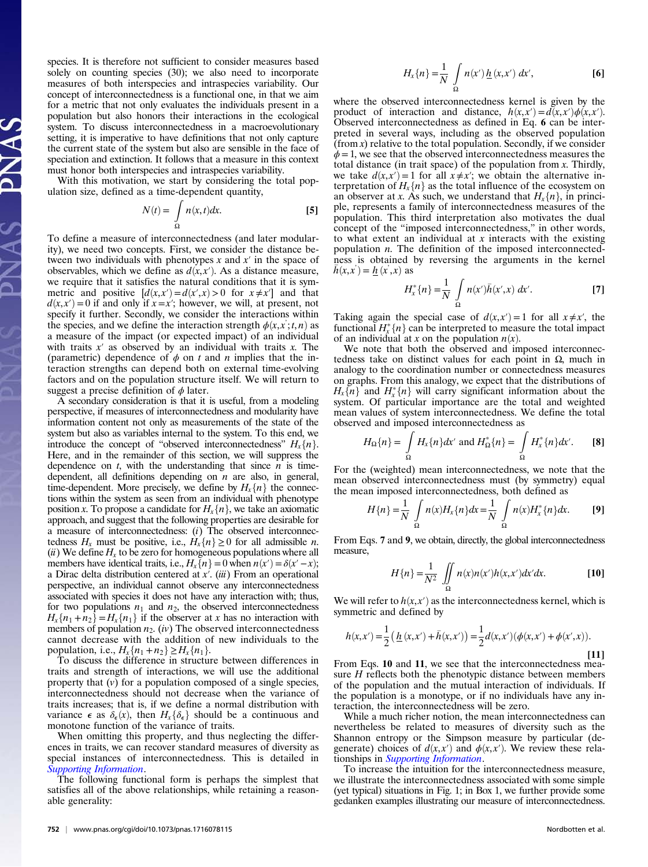species. It is therefore not sufficient to consider measures based solely on counting species (30); we also need to incorporate measures of both interspecies and intraspecies variability. Our concept of interconnectedness is a functional one, in that we aim for a metric that not only evaluates the individuals present in a population but also honors their interactions in the ecological system. To discuss interconnectedness in a macroevolutionary setting, it is imperative to have definitions that not only capture the current state of the system but also are sensible in the face of speciation and extinction. It follows that a measure in this context must honor both interspecies and intraspecies variability.

With this motivation, we start by considering the total population size, defined as a time-dependent quantity,

$$
N(t) = \int_{\Omega} n(x, t) dx.
$$
 [5]

To define a measure of interconnectedness (and later modularity), we need two concepts. First, we consider the distance between two individuals with phenotypes  $x$  and  $x'$  in the space of observables, which we define as  $d(x, x')$ . As a distance measure, we require that it satisfies the natural conditions that it is symmetric and positive  $[d(x, x') = d(x', x) > 0$  for  $x \neq x'$  and that  $d(x, x') = 0$  if and only if  $x = x'$ ; however, we will, at present, not specify it further. Secondly, we consider the interactions within the species, and we define the interaction strength  $\phi(x, x'; t, n)$  as a measure of the impact (or expected impact) of an individual a measure of the impact (or expected impact) of an individual with traits  $x'$  as observed by an individual with traits  $x$ . The (parametric) dependence of  $\phi$  on t and n implies that the interaction strengths can depend both on external time-evolving factors and on the population structure itself. We will return to suggest a precise definition of  $\phi$  later.

A secondary consideration is that it is useful, from a modeling perspective, if measures of interconnectedness and modularity have information content not only as measurements of the state of the system but also as variables internal to the system. To this end, we introduce the concept of "observed interconnectedness"  $H_x\{n\}$ . Here, and in the remainder of this section, we will suppress the dependence on  $t$ , with the understanding that since  $n$  is timedependent, all definitions depending on  $n$  are also, in general, time-dependent. More precisely, we define by  $H_x\{n\}$  the connections within the system as seen from an individual with phenotype position x. To propose a candidate for  $H_x\{n\}$ , we take an axiomatic approach, and suggest that the following properties are desirable for a measure of interconnectedness: (i) The observed interconnectedness  $H_x$  must be positive, i.e.,  $H_x\{n\} \ge 0$  for all admissible *n*. (ii) We define  $H_x$  to be zero for homogeneous populations where all members have identical traits, i.e.,  $H_x\{n\} = 0$  when  $n(x') = \delta(x'-x)$ ; a Dirac delta distribution centered at  $x'$ . (iii) From an operational perspective, an individual cannot observe any interconnectedness associated with species it does not have any interaction with; thus, for two populations  $n_1$  and  $n_2$ , the observed interconnectedness  $H_x{n_1+n_2} = H_x{n_1}$  if the observer at x has no interaction with members of population  $n_2$ . (iv) The observed interconnectedness cannot decrease with the addition of new individuals to the population, i.e.,  $H_x\{n_1 + n_2\} \ge H_x\{n_1\}.$ 

To discuss the difference in structure between differences in traits and strength of interactions, we will use the additional property that  $(v)$  for a population composed of a single species, interconnectedness should not decrease when the variance of traits increases; that is, if we define a normal distribution with variance  $\epsilon$  as  $\delta_{\epsilon}(x)$ , then  $H_x\{\delta_{\epsilon}\}\$  should be a continuous and monotone function of the variance of traits.

When omitting this property, and thus neglecting the differences in traits, we can recover standard measures of diversity as special instances of interconnectedness. This is detailed in [Supporting Information](http://www.pnas.org/lookup/suppl/doi:10.1073/pnas.1716078115/-/DCSupplemental/pnas.201716078SI.pdf?targetid=nameddest=STXT).

The following functional form is perhaps the simplest that satisfies all of the above relationships, while retaining a reasonable generality:

$$
H_x\{n\} = \frac{1}{N} \int_{\Omega} n(x') \, \underline{h}(x, x') \, dx',
$$
 [6]

where the observed interconnectedness kernel is given by the product of interaction and distance,  $h(x, x') = d(x, x')\phi(x, x')$ . Observed interconnectedness as defined in Eq. 6 can be interpreted in several ways, including as the observed population (from x) relative to the total population. Secondly, if we consider  $\phi = 1$ , we see that the observed interconnectedness measures the total distance (in trait space) of the population from x. Thirdly, we take  $d(x, x') = 1$  for all  $x \neq x'$ ; we obtain the alternative interpretation of  $H_x\{n\}$  as the total influence of the ecosystem on an observer at x. As such, we understand that  $H_x\{n\}$ , in principle, represents a family of interconnectedness measures of the population. This third interpretation also motivates the dual concept of the "imposed interconnectedness," in other words, to what extent an individual at  $x$  interacts with the existing population n. The definition of the imposed interconnectedness is obtained by reversing the arguments in the kernel  $\bar{h}(x, x') = \underline{h}(x', x)$  as

$$
H_{x}^{*}\{n\} = \frac{1}{N} \int_{\Omega} n(x')\bar{h}(x',x) \, dx'. \tag{7}
$$

Taking again the special case of  $d(x, x') = 1$  for all  $x \neq x'$ , the functional  $H_x^*(h)$  can be interpreted to measure the total impact of an individual at x on the population  $n(x)$ . of an individual at x on the population  $n(x)$ .

We note that both the observed and imposed interconnectedness take on distinct values for each point in  $\Omega$ , much in analogy to the coordination number or connectedness measures on graphs. From this analogy, we expect that the distributions of  $H_x\{\overline{n}\}$  and  $H_x^*(\overline{n}\})$  will carry significant information about the system. Of particular importance are the total and weighted system. Of particular importance are the total and weighted mean values of system interconnectedness. We define the total observed and imposed interconnectedness as

$$
H_{\Omega}\{n\} = \int_{\Omega} H_x\{n\} dx' \text{ and } H_{\Omega}^*\{n\} = \int_{\Omega} H_x^*\{n\} dx'.
$$
 [8]

For the (weighted) mean interconnectedness, we note that the mean observed interconnectedness must (by symmetry) equal the mean imposed interconnectedness, both defined as

$$
H\{n\} = \frac{1}{N} \int_{\Omega} n(x) H_x\{n\} dx = \frac{1}{N} \int_{\Omega} n(x) H_x^*\{n\} dx.
$$
 [9]

From Eqs. 7 and 9, we obtain, directly, the global interconnectedness measure,

$$
H\{n\} = \frac{1}{N^2} \iint\limits_{\Omega} n(x)n(x')h(x,x')dx'dx.
$$
 [10]

We will refer to  $h(x, x')$  as the interconnectedness kernel, which is symmetric and defined by

$$
h(x,x') = \frac{1}{2} \left( \underline{h}(x,x') + \bar{h}(x,x') \right) = \frac{1}{2} d(x,x') \left( \phi(x,x') + \phi(x',x) \right).
$$
\n[11]

From Eqs. 10 and 11, we see that the interconnectedness measure *H* reflects both the phenotypic distance between members of the population and the mutual interaction of individuals. If the population is a monotype, or if no individuals have any interaction, the interconnectedness will be zero.

While a much richer notion, the mean interconnectedness can nevertheless be related to measures of diversity such as the Shannon entropy or the Simpson measure by particular (degenerate) choices of  $d(x, x')$  and  $\phi(x, x')$ . We review these relationships in [Supporting Information](http://www.pnas.org/lookup/suppl/doi:10.1073/pnas.1716078115/-/DCSupplemental/pnas.201716078SI.pdf?targetid=nameddest=STXT).

To increase the intuition for the interconnectedness measure, we illustrate the interconnectedness associated with some simple (yet typical) situations in Fig. 1; in Box 1, we further provide some gedanken examples illustrating our measure of interconnectedness.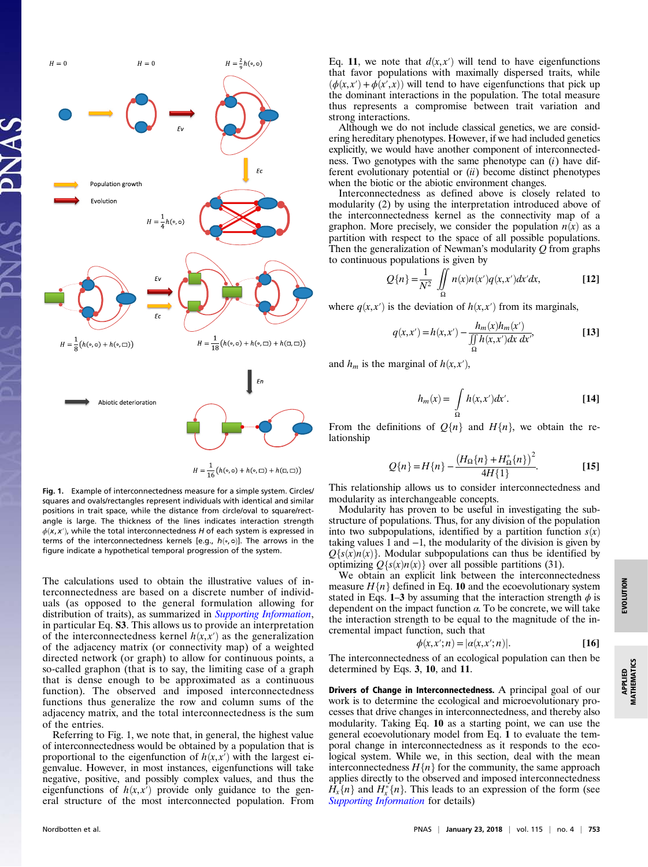

Fig. 1. Example of interconnectedness measure for a simple system. Circles/ squares and ovals/rectangles represent individuals with identical and similar positions in trait space, while the distance from circle/oval to square/rectangle is large. The thickness of the lines indicates interaction strength  $\phi$ (x, x'), while the total interconnectedness H of each system is expressed in terms of the interconnectedness kernels [e.g.,  $h(\cdot, \circ)$ ]. The arrows in the figure indicate a hypothetical temporal progression of the system.

The calculations used to obtain the illustrative values of interconnectedness are based on a discrete number of individuals (as opposed to the general formulation allowing for distribution of traits), as summarized in *[Supporting Information](http://www.pnas.org/lookup/suppl/doi:10.1073/pnas.1716078115/-/DCSupplemental/pnas.201716078SI.pdf?targetid=nameddest=STXT)*, in particular Eq. S3. This allows us to provide an interpretation of the interconnectedness kernel  $h(x, x')$  as the generalization of the adjacency matrix (or connectivity map) of a weighted directed network (or graph) to allow for continuous points, a so-called graphon (that is to say, the limiting case of a graph that is dense enough to be approximated as a continuous function). The observed and imposed interconnectedness functions thus generalize the row and column sums of the adjacency matrix, and the total interconnectedness is the sum of the entries.

Referring to Fig. 1, we note that, in general, the highest value of interconnectedness would be obtained by a population that is proportional to the eigenfunction of  $h(x, x')$  with the largest eigenvalue. However, in most instances, eigenfunctions will take negative, positive, and possibly complex values, and thus the eigenfunctions of  $h(x, x^r)$  provide only guidance to the general structure of the most interconnected population. From Eq. 11, we note that  $d(x, x')$  will tend to have eigenfunctions that favor populations with maximally dispersed traits, while  $(\phi(x, x') + \phi(x', x))$  will tend to have eigenfunctions that pick up the dominant interactions in the population. The total measure thus represents a compromise between trait variation and strong interactions.

Although we do not include classical genetics, we are considering hereditary phenotypes. However, if we had included genetics explicitly, we would have another component of interconnectedness. Two genotypes with the same phenotype can (i) have different evolutionary potential or  $(ii)$  become distinct phenotypes when the biotic or the abiotic environment changes.

Interconnectedness as defined above is closely related to modularity (2) by using the interpretation introduced above of the interconnectedness kernel as the connectivity map of a graphon. More precisely, we consider the population  $n(x)$  as a partition with respect to the space of all possible populations. Then the generalization of Newman's modularity  $Q$  from graphs to continuous populations is given by

$$
Q{n} = \frac{1}{N^2} \iint\limits_{\Omega} n(x)n(x')q(x,x')dx'dx,
$$
 [12]

where  $q(x, x')$  is the deviation of  $h(x, x')$  from its marginals,

$$
q(x,x') = h(x,x') - \frac{h_m(x)h_m(x')}{\iint\limits_{\Omega} h(x,x')dx dx'},
$$
 [13]

and  $h_m$  is the marginal of  $h(x, x')$ ,

$$
h_m(x) = \int_{\Omega} h(x, x') dx'.
$$
 [14]

From the definitions of  $Q{n}$  and  $H{n}$ , we obtain the relationship

$$
Q{n} = H{n} - \frac{(H_{\Omega}{n} + H_{\Omega}^{*}{n})^{2}}{4H{1}}
$$
 (15)  
This relationship allows us to consider interconnectedness and

modularity as interchangeable concepts.

Modularity has proven to be useful in investigating the substructure of populations. Thus, for any division of the population into two subpopulations, identified by a partition function  $s(x)$ taking values 1 and −1, the modularity of the division is given by  $Q(s(x)n(x))$ . Modular subpopulations can thus be identified by optimizing  $Q\{s(x)n(x)\}\$  over all possible partitions (31).

We obtain an explicit link between the interconnectedness measure  $H\{n\}$  defined in Eq. 10 and the ecoevolutionary system stated in Eqs. 1–3 by assuming that the interaction strength  $\phi$  is dependent on the impact function  $\alpha$ . To be concrete, we will take the interaction strength to be equal to the magnitude of the incremental impact function, such that

$$
\phi(x, x'; n) = |\alpha(x, x'; n)|. \tag{16}
$$

 $\phi(x, x'; n) = |\alpha(x, x'; n)|.$  [16]<br>The interconnectedness of an ecological population can then be determined by Eqs. 3, 10, and 11.

Drivers of Change in Interconnectedness. A principal goal of our work is to determine the ecological and microevolutionary processes that drive changes in interconnectedness, and thereby also modularity. Taking Eq. 10 as a starting point, we can use the general ecoevolutionary model from Eq. 1 to evaluate the temporal change in interconnectedness as it responds to the ecological system. While we, in this section, deal with the mean interconnectedness  $H\{n\}$  for the community, the same approach applies directly to the observed and imposed interconnectedness  $\hat{H}_x^{\dagger}(n)$  and  $H_x^*(n)$ . This leads to an expression of the form (see Supporting Information for details) [Supporting Information](http://www.pnas.org/lookup/suppl/doi:10.1073/pnas.1716078115/-/DCSupplemental/pnas.201716078SI.pdf?targetid=nameddest=STXT) for details)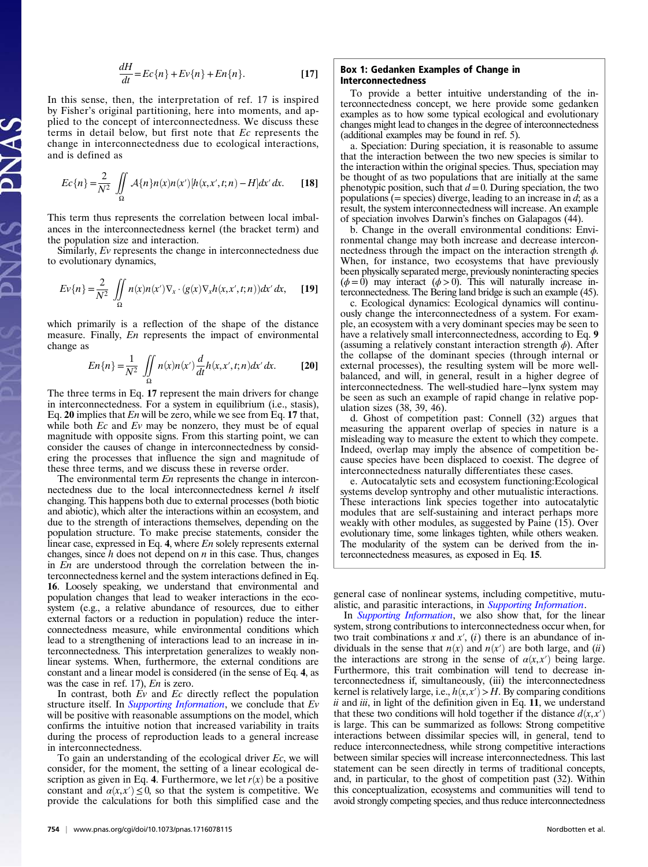$$
\frac{dH}{dt} = Ec\{n\} + Ev\{n\} + En\{n\}.
$$
 [17]

In this sense, then, the interpretation of ref. 17 is inspired by Fisher's original partitioning, here into moments, and applied to the concept of interconnectedness. We discuss these terms in detail below, but first note that Ec represents the change in interconnectedness due to ecological interactions, and is defined as

$$
Ec{n} = \frac{2}{N^2} \iint\limits_{\Omega} \mathcal{A}{n}n(x)n(x')[h(x, x', t; n) - H]dx'dx.
$$
 [18]

This term thus represents the correlation between local imbalances in the interconnectedness kernel (the bracket term) and the population size and interaction.

Similarly, Ev represents the change in interconnectedness due to evolutionary dynamics,

$$
Ev{n} = \frac{2}{N^2} \iint\limits_{\Omega} n(x)n(x')\nabla_x \cdot (g(x)\nabla_x h(x,x',t;n))dx'dx, \qquad [19]
$$

which primarily is a reflection of the shape of the distance measure. Finally, En represents the impact of environmental change as

$$
En{n} = \frac{1}{N^2} \iint\limits_{\Omega} n(x)n(x') \frac{d}{dt} h(x, x', t; n) dx' dx.
$$
 [20]

The three terms in Eq. 17 represent the main drivers for change in interconnectedness. For a system in equilibrium (i.e., stasis), Eq. 20 implies that  $En$  will be zero, while we see from Eq. 17 that, while both  $Ec$  and  $Ev$  may be nonzero, they must be of equal magnitude with opposite signs. From this starting point, we can consider the causes of change in interconnectedness by considering the processes that influence the sign and magnitude of these three terms, and we discuss these in reverse order.

The environmental term En represents the change in interconnectedness due to the local interconnectedness kernel h itself changing. This happens both due to external processes (both biotic and abiotic), which alter the interactions within an ecosystem, and due to the strength of interactions themselves, depending on the population structure. To make precise statements, consider the linear case, expressed in Eq. 4, where En solely represents external changes, since  $h$  does not depend on  $n$  in this case. Thus, changes in En are understood through the correlation between the interconnectedness kernel and the system interactions defined in Eq. 16. Loosely speaking, we understand that environmental and population changes that lead to weaker interactions in the ecosystem (e.g., a relative abundance of resources, due to either external factors or a reduction in population) reduce the interconnectedness measure, while environmental conditions which lead to a strengthening of interactions lead to an increase in interconnectedness. This interpretation generalizes to weakly nonlinear systems. When, furthermore, the external conditions are constant and a linear model is considered (in the sense of Eq. 4, as was the case in ref. 17), *En* is zero.

In contrast, both  $Ev$  and  $Ec$  directly reflect the population structure itself. In *[Supporting Information](http://www.pnas.org/lookup/suppl/doi:10.1073/pnas.1716078115/-/DCSupplemental/pnas.201716078SI.pdf?targetid=nameddest=STXT)*, we conclude that Ev will be positive with reasonable assumptions on the model, which confirms the intuitive notion that increased variability in traits during the process of reproduction leads to a general increase in interconnectedness.

To gain an understanding of the ecological driver Ec, we will consider, for the moment, the setting of a linear ecological description as given in Eq. 4. Furthermore, we let  $r(x)$  be a positive constant and  $\alpha(x, x') \leq 0$ , so that the system is competitive. We provide the calculations for both this simplified case and the

#### 754 <sup>|</sup> <www.pnas.org/cgi/doi/10.1073/pnas.1716078115> Nordbotten et al.

## Box 1: Gedanken Examples of Change in Interconnectedness

To provide a better intuitive understanding of the interconnectedness concept, we here provide some gedanken examples as to how some typical ecological and evolutionary changes might lead to changes in the degree of interconnectedness (additional examples may be found in ref. 5).

a. Speciation: During speciation, it is reasonable to assume that the interaction between the two new species is similar to the interaction within the original species. Thus, speciation may be thought of as two populations that are initially at the same phenotypic position, such that  $d=0$ . During speciation, the two populations (= species) diverge, leading to an increase in  $d$ ; as a result, the system interconnectedness will increase. An example of speciation involves Darwin's finches on Galapagos (44).

b. Change in the overall environmental conditions: Environmental change may both increase and decrease interconnectedness through the impact on the interaction strength  $\phi$ . When, for instance, two ecosystems that have previously been physically separated merge, previously noninteracting species  $(\phi = 0)$  may interact  $(\phi > 0)$ . This will naturally increase interconnectedness. The Bering land bridge is such an example (45).

c. Ecological dynamics: Ecological dynamics will continuously change the interconnectedness of a system. For example, an ecosystem with a very dominant species may be seen to have a relatively small interconnectedness, according to Eq. 9 (assuming a relatively constant interaction strength  $\phi$ ). After the collapse of the dominant species (through internal or external processes), the resulting system will be more wellbalanced, and will, in general, result in a higher degree of interconnectedness. The well-studied hare−lynx system may be seen as such an example of rapid change in relative population sizes (38, 39, 46).

d. Ghost of competition past: Connell (32) argues that measuring the apparent overlap of species in nature is a misleading way to measure the extent to which they compete. Indeed, overlap may imply the absence of competition because species have been displaced to coexist. The degree of interconnectedness naturally differentiates these cases.

e. Autocatalytic sets and ecosystem functioning:Ecological systems develop syntrophy and other mutualistic interactions. These interactions link species together into autocatalytic modules that are self-sustaining and interact perhaps more weakly with other modules, as suggested by Paine (15). Over evolutionary time, some linkages tighten, while others weaken. The modularity of the system can be derived from the interconnectedness measures, as exposed in Eq. 15.

general case of nonlinear systems, including competitive, mutualistic, and parasitic interactions, in [Supporting Information](http://www.pnas.org/lookup/suppl/doi:10.1073/pnas.1716078115/-/DCSupplemental/pnas.201716078SI.pdf?targetid=nameddest=STXT).

In *[Supporting Information](http://www.pnas.org/lookup/suppl/doi:10.1073/pnas.1716078115/-/DCSupplemental/pnas.201716078SI.pdf?targetid=nameddest=STXT)*, we also show that, for the linear system, strong contributions to interconnectedness occur when, for two trait combinations x and  $x'$ ,  $(i)$  there is an abundance of individuals in the sense that  $n(x)$  and  $n(x')$  are both large, and (ii) the interactions are strong in the sense of  $\alpha(x, x')$  being large. Furthermore, this trait combination will tend to decrease interconnectedness if, simultaneously, (iii) the interconnectedness kernel is relatively large, i.e.,  $h(x, x') > H$ . By comparing conditions  $ii$  and  $iii$ , in light of the definition given in Eq. 11, we understand that these two conditions will hold together if the distance  $d(x, x')$ is large. This can be summarized as follows: Strong competitive interactions between dissimilar species will, in general, tend to reduce interconnectedness, while strong competitive interactions between similar species will increase interconnectedness. This last statement can be seen directly in terms of traditional concepts, and, in particular, to the ghost of competition past (32). Within this conceptualization, ecosystems and communities will tend to avoid strongly competing species, and thus reduce interconnectedness